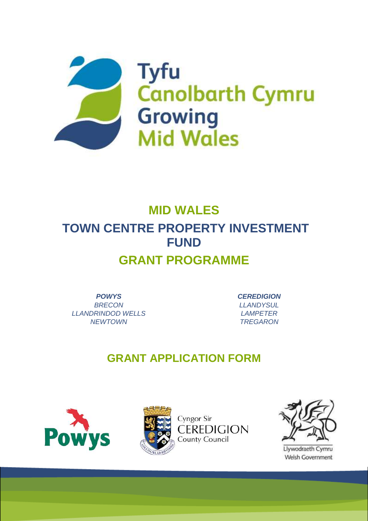

# **MID WALES TOWN CENTRE PROPERTY INVESTMENT FUND GRANT PROGRAMME**

*POWYS BRECON LLANDRINDOD WELLS NEWTOWN*

*CEREDIGION LLANDYSUL LAMPETER TREGARON*

## **GRANT APPLICATION FORM**









Llywodraeth Cymru Welsh Government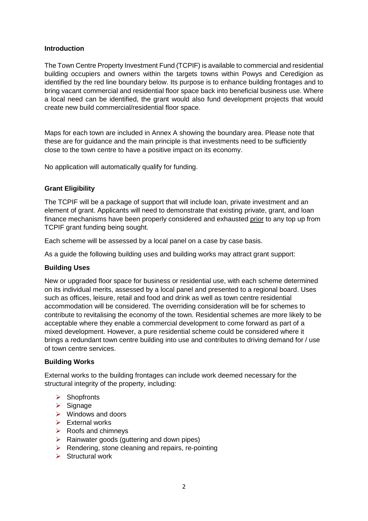#### **Introduction**

The Town Centre Property Investment Fund (TCPIF) is available to commercial and residential building occupiers and owners within the targets towns within Powys and Ceredigion as identified by the red line boundary below. Its purpose is to enhance building frontages and to bring vacant commercial and residential floor space back into beneficial business use. Where a local need can be identified, the grant would also fund development projects that would create new build commercial/residential floor space.

Maps for each town are included in Annex A showing the boundary area. Please note that these are for guidance and the main principle is that investments need to be sufficiently close to the town centre to have a positive impact on its economy.

No application will automatically qualify for funding.

#### **Grant Eligibility**

The TCPIF will be a package of support that will include loan, private investment and an element of grant. Applicants will need to demonstrate that existing private, grant, and loan finance mechanisms have been properly considered and exhausted prior to any top up from TCPIF grant funding being sought.

Each scheme will be assessed by a local panel on a case by case basis.

As a guide the following building uses and building works may attract grant support:

#### **Building Uses**

New or upgraded floor space for business or residential use, with each scheme determined on its individual merits, assessed by a local panel and presented to a regional board. Uses such as offices, leisure, retail and food and drink as well as town centre residential accommodation will be considered. The overriding consideration will be for schemes to contribute to revitalising the economy of the town. Residential schemes are more likely to be acceptable where they enable a commercial development to come forward as part of a mixed development. However, a pure residential scheme could be considered where it brings a redundant town centre building into use and contributes to driving demand for / use of town centre services.

#### **Building Works**

External works to the building frontages can include work deemed necessary for the structural integrity of the property, including:

- $\triangleright$  Shopfronts
- $\triangleright$  Signage
- $\triangleright$  Windows and doors
- $\triangleright$  Fxternal works
- $\triangleright$  Roofs and chimneys
- $\triangleright$  Rainwater goods (guttering and down pipes)
- $\triangleright$  Rendering, stone cleaning and repairs, re-pointing
- $\triangleright$  Structural work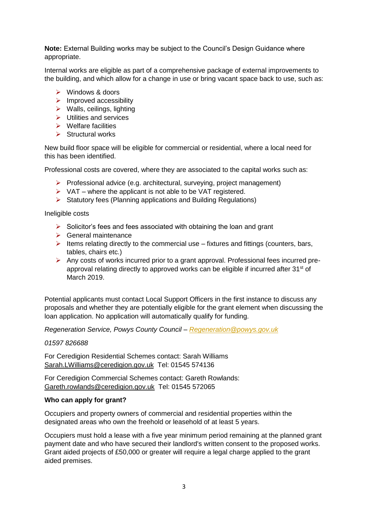**Note:** External Building works may be subject to the Council's Design Guidance where appropriate.

Internal works are eligible as part of a comprehensive package of external improvements to the building, and which allow for a change in use or bring vacant space back to use, such as:

- Windows & doors
- $\triangleright$  Improved accessibility
- $\triangleright$  Walls, ceilings, lighting
- $\triangleright$  Utilities and services
- $\triangleright$  Welfare facilities
- $\triangleright$  Structural works

New build floor space will be eligible for commercial or residential, where a local need for this has been identified.

Professional costs are covered, where they are associated to the capital works such as:

- $\triangleright$  Professional advice (e.g. architectural, surveying, project management)
- $\triangleright$  VAT where the applicant is not able to be VAT registered.
- $\triangleright$  Statutory fees (Planning applications and Building Regulations)

Ineligible costs

- $\triangleright$  Solicitor's fees and fees associated with obtaining the loan and grant
- $\triangleright$  General maintenance
- $\triangleright$  Items relating directly to the commercial use fixtures and fittings (counters, bars, tables, chairs etc.)
- Any costs of works incurred prior to a grant approval. Professional fees incurred preapproval relating directly to approved works can be eligible if incurred after  $31<sup>st</sup>$  of March 2019.

Potential applicants must contact Local Support Officers in the first instance to discuss any proposals and whether they are potentially eligible for the grant element when discussing the loan application. No application will automatically qualify for funding.

*Regeneration Service, Powys County Council – [Regeneration@powys.gov.uk](mailto:Regeneration@powys.gov.uk)*

*01597 826688*

For Ceredigion Residential Schemes contact: Sarah Williams [Sarah.LWilliams@ceredigion.gov.uk](mailto:Sarah.LWilliams@ceredigion.gov.uk) Tel: 01545 574136

For Ceredigion Commercial Schemes contact: Gareth Rowlands: [Gareth.rowlands@ceredigion.gov.uk](mailto:Gareth.rowlands@ceredigion.gov.uk) Tel: 01545 572065

#### **Who can apply for grant?**

Occupiers and property owners of commercial and residential properties within the designated areas who own the freehold or leasehold of at least 5 years.

Occupiers must hold a lease with a five year minimum period remaining at the planned grant payment date and who have secured their landlord's written consent to the proposed works. Grant aided projects of £50,000 or greater will require a legal charge applied to the grant aided premises.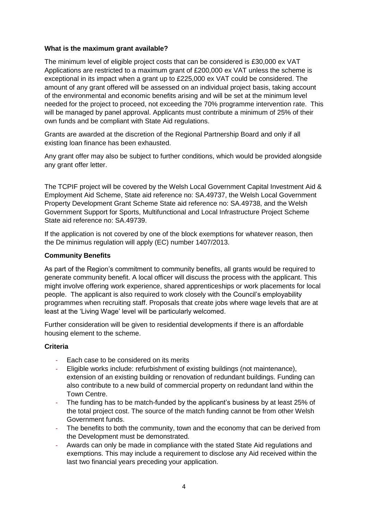#### **What is the maximum grant available?**

The minimum level of eligible project costs that can be considered is £30,000 ex VAT Applications are restricted to a maximum grant of £200,000 ex VAT unless the scheme is exceptional in its impact when a grant up to £225,000 ex VAT could be considered. The amount of any grant offered will be assessed on an individual project basis, taking account of the environmental and economic benefits arising and will be set at the minimum level needed for the project to proceed, not exceeding the 70% programme intervention rate. This will be managed by panel approval. Applicants must contribute a minimum of 25% of their own funds and be compliant with State Aid regulations.

Grants are awarded at the discretion of the Regional Partnership Board and only if all existing loan finance has been exhausted.

Any grant offer may also be subject to further conditions, which would be provided alongside any grant offer letter.

The TCPIF project will be covered by the Welsh Local Government Capital Investment Aid & Employment Aid Scheme, State aid reference no: SA.49737, the Welsh Local Government Property Development Grant Scheme State aid reference no: SA.49738, and the Welsh Government Support for Sports, Multifunctional and Local Infrastructure Project Scheme State aid reference no: SA.49739.

If the application is not covered by one of the block exemptions for whatever reason, then the De minimus regulation will apply (EC) number 1407/2013.

#### **Community Benefits**

As part of the Region's commitment to community benefits, all grants would be required to generate community benefit. A local officer will discuss the process with the applicant. This might involve offering work experience, shared apprenticeships or work placements for local people. The applicant is also required to work closely with the Council's employability programmes when recruiting staff. Proposals that create jobs where wage levels that are at least at the 'Living Wage' level will be particularly welcomed.

Further consideration will be given to residential developments if there is an affordable housing element to the scheme.

#### **Criteria**

- Each case to be considered on its merits
- Eligible works include: refurbishment of existing buildings (not maintenance), extension of an existing building or renovation of redundant buildings. Funding can also contribute to a new build of commercial property on redundant land within the Town Centre.
- The funding has to be match-funded by the applicant's business by at least 25% of the total project cost. The source of the match funding cannot be from other Welsh Government funds.
- The benefits to both the community, town and the economy that can be derived from the Development must be demonstrated.
- Awards can only be made in compliance with the stated State Aid regulations and exemptions. This may include a requirement to disclose any Aid received within the last two financial years preceding your application.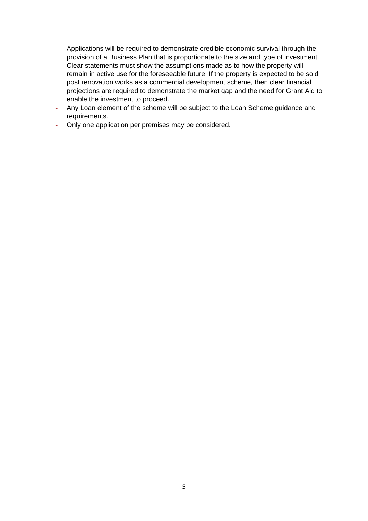- Applications will be required to demonstrate credible economic survival through the provision of a Business Plan that is proportionate to the size and type of investment. Clear statements must show the assumptions made as to how the property will remain in active use for the foreseeable future. If the property is expected to be sold post renovation works as a commercial development scheme, then clear financial projections are required to demonstrate the market gap and the need for Grant Aid to enable the investment to proceed.
- Any Loan element of the scheme will be subject to the Loan Scheme guidance and requirements.
- Only one application per premises may be considered.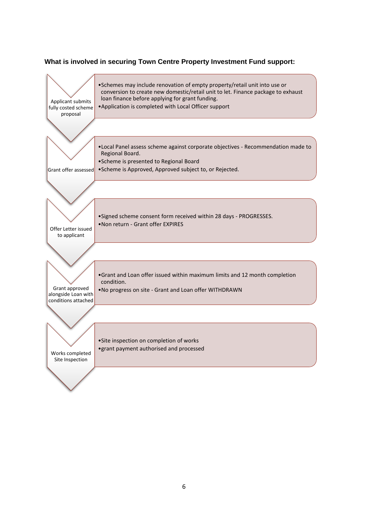#### **What is involved in securing Town Centre Property Investment Fund support:**

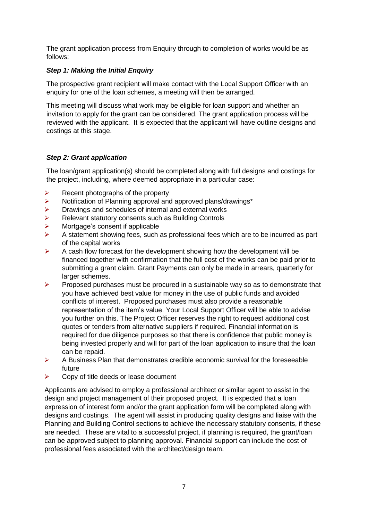The grant application process from Enquiry through to completion of works would be as follows:

#### *Step 1: Making the Initial Enquiry*

The prospective grant recipient will make contact with the Local Support Officer with an enquiry for one of the loan schemes, a meeting will then be arranged.

This meeting will discuss what work may be eligible for loan support and whether an invitation to apply for the grant can be considered. The grant application process will be reviewed with the applicant. It is expected that the applicant will have outline designs and costings at this stage.

#### *Step 2: Grant application*

The loan/grant application(s) should be completed along with full designs and costings for the project, including, where deemed appropriate in a particular case:

- $\triangleright$  Recent photographs of the property
- Notification of Planning approval and approved plans/drawings\*
- $\triangleright$  Drawings and schedules of internal and external works
- ▶ Relevant statutory consents such as Building Controls
- $\triangleright$  Mortgage's consent if applicable
- $\triangleright$  A statement showing fees, such as professional fees which are to be incurred as part of the capital works
- $\triangleright$  A cash flow forecast for the development showing how the development will be financed together with confirmation that the full cost of the works can be paid prior to submitting a grant claim. Grant Payments can only be made in arrears, quarterly for larger schemes.
- $\triangleright$  Proposed purchases must be procured in a sustainable way so as to demonstrate that you have achieved best value for money in the use of public funds and avoided conflicts of interest. Proposed purchases must also provide a reasonable representation of the item's value. Your Local Support Officer will be able to advise you further on this. The Project Officer reserves the right to request additional cost quotes or tenders from alternative suppliers if required. Financial information is required for due diligence purposes so that there is confidence that public money is being invested properly and will for part of the loan application to insure that the loan can be repaid.
- $\triangleright$  A Business Plan that demonstrates credible economic survival for the foreseeable future
- $\triangleright$  Copy of title deeds or lease document

Applicants are advised to employ a professional architect or similar agent to assist in the design and project management of their proposed project. It is expected that a loan expression of interest form and/or the grant application form will be completed along with designs and costings. The agent will assist in producing quality designs and liaise with the Planning and Building Control sections to achieve the necessary statutory consents, if these are needed. These are vital to a successful project, if planning is required, the grant/loan can be approved subject to planning approval. Financial support can include the cost of professional fees associated with the architect/design team.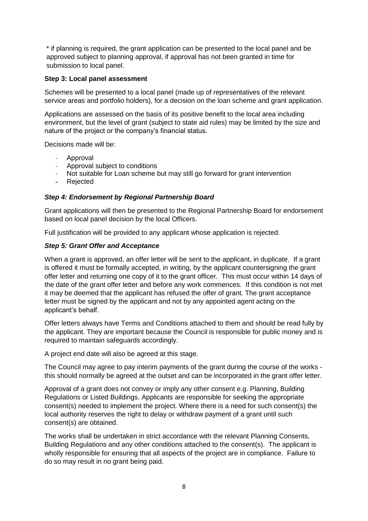\* if planning is required, the grant application can be presented to the local panel and be approved subject to planning approval, if approval has not been granted in time for submission to local panel.

#### **Step 3: Local panel assessment**

Schemes will be presented to a local panel (made up of representatives of the relevant service areas and portfolio holders), for a decision on the loan scheme and grant application.

Applications are assessed on the basis of its positive benefit to the local area including environment, but the level of grant (subject to state aid rules) may be limited by the size and nature of the project or the company's financial status.

Decisions made will be:

- Approval
- Approval subject to conditions
- Not suitable for Loan scheme but may still go forward for grant intervention
- Rejected

#### *Step 4: Endorsement by Regional Partnership Board*

Grant applications will then be presented to the Regional Partnership Board for endorsement based on local panel decision by the local Officers.

Full justification will be provided to any applicant whose application is rejected.

#### *Step 5: Grant Offer and Acceptance*

When a grant is approved, an offer letter will be sent to the applicant, in duplicate. If a grant is offered it must be formally accepted, in writing, by the applicant countersigning the grant offer letter and returning one copy of it to the grant officer. This must occur within 14 days of the date of the grant offer letter and before any work commences. If this condition is not met it may be deemed that the applicant has refused the offer of grant. The grant acceptance letter must be signed by the applicant and not by any appointed agent acting on the applicant's behalf.

Offer letters always have Terms and Conditions attached to them and should be read fully by the applicant. They are important because the Council is responsible for public money and is required to maintain safeguards accordingly.

A project end date will also be agreed at this stage.

The Council may agree to pay interim payments of the grant during the course of the works this should normally be agreed at the outset and can be incorporated in the grant offer letter.

Approval of a grant does not convey or imply any other consent e.g. Planning, Building Regulations or Listed Buildings. Applicants are responsible for seeking the appropriate consent(s) needed to implement the project. Where there is a need for such consent(s) the local authority reserves the right to delay or withdraw payment of a grant until such consent(s) are obtained.

The works shall be undertaken in strict accordance with the relevant Planning Consents, Building Regulations and any other conditions attached to the consent(s). The applicant is wholly responsible for ensuring that all aspects of the project are in compliance. Failure to do so may result in no grant being paid.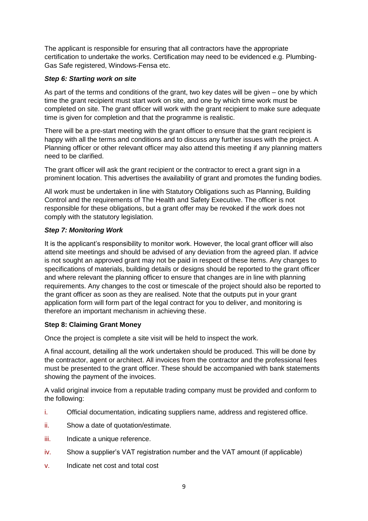The applicant is responsible for ensuring that all contractors have the appropriate certification to undertake the works. Certification may need to be evidenced e.g. Plumbing-Gas Safe registered, Windows-Fensa etc.

#### *Step 6: Starting work on site*

As part of the terms and conditions of the grant, two key dates will be given – one by which time the grant recipient must start work on site, and one by which time work must be completed on site. The grant officer will work with the grant recipient to make sure adequate time is given for completion and that the programme is realistic.

There will be a pre-start meeting with the grant officer to ensure that the grant recipient is happy with all the terms and conditions and to discuss any further issues with the project. A Planning officer or other relevant officer may also attend this meeting if any planning matters need to be clarified.

The grant officer will ask the grant recipient or the contractor to erect a grant sign in a prominent location. This advertises the availability of grant and promotes the funding bodies.

All work must be undertaken in line with Statutory Obligations such as Planning, Building Control and the requirements of The Health and Safety Executive. The officer is not responsible for these obligations, but a grant offer may be revoked if the work does not comply with the statutory legislation.

#### *Step 7: Monitoring Work*

It is the applicant's responsibility to monitor work. However, the local grant officer will also attend site meetings and should be advised of any deviation from the agreed plan. If advice is not sought an approved grant may not be paid in respect of these items. Any changes to specifications of materials, building details or designs should be reported to the grant officer and where relevant the planning officer to ensure that changes are in line with planning requirements. Any changes to the cost or timescale of the project should also be reported to the grant officer as soon as they are realised. Note that the outputs put in your grant application form will form part of the legal contract for you to deliver, and monitoring is therefore an important mechanism in achieving these.

#### **Step 8: Claiming Grant Money**

Once the project is complete a site visit will be held to inspect the work.

A final account, detailing all the work undertaken should be produced. This will be done by the contractor, agent or architect. All invoices from the contractor and the professional fees must be presented to the grant officer. These should be accompanied with bank statements showing the payment of the invoices.

A valid original invoice from a reputable trading company must be provided and conform to the following:

- i. Official documentation, indicating suppliers name, address and registered office.
- ii. Show a date of quotation/estimate.
- iii. Indicate a unique reference.
- iv. Show a supplier's VAT registration number and the VAT amount (if applicable)
- v. Indicate net cost and total cost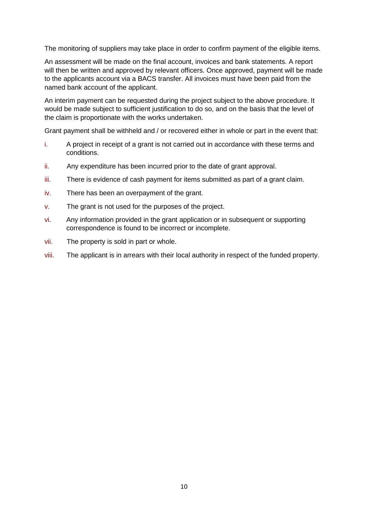The monitoring of suppliers may take place in order to confirm payment of the eligible items.

An assessment will be made on the final account, invoices and bank statements. A report will then be written and approved by relevant officers. Once approved, payment will be made to the applicants account via a BACS transfer. All invoices must have been paid from the named bank account of the applicant.

An interim payment can be requested during the project subject to the above procedure. It would be made subject to sufficient justification to do so, and on the basis that the level of the claim is proportionate with the works undertaken.

Grant payment shall be withheld and / or recovered either in whole or part in the event that:

- i. A project in receipt of a grant is not carried out in accordance with these terms and conditions.
- ii. Any expenditure has been incurred prior to the date of grant approval.
- iii. There is evidence of cash payment for items submitted as part of a grant claim.
- iv. There has been an overpayment of the grant.
- v. The grant is not used for the purposes of the project.
- vi. Any information provided in the grant application or in subsequent or supporting correspondence is found to be incorrect or incomplete.
- vii. The property is sold in part or whole.
- viii. The applicant is in arrears with their local authority in respect of the funded property.